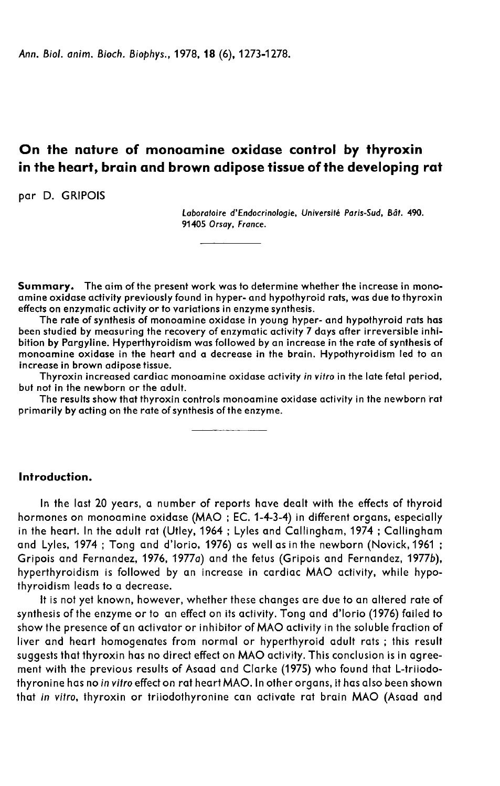Ann. Biol. anim. Bioch. Biophys., 1978, 18 (6), 1273-1278.

# On the nature of monoamine oxidase control by thyroxin in the heart, brain and brown adipose tissue of the developing rat

par D. GRIPOIS

Laboratoire d'Endocrinologie, Université Paris-Sud, Bât. 490. 91405 Orsay, France.

Summary. The aim of the present work was to determine whether the increase in monoamine oxidase activity previously found in hyper- and hypothyroid rats, was due to thyroxin effects on enzymatic activity or to variations in enzyme synthesis.

The rate of synthesis of monoamine oxidase in young hyper- and hypothyroid rats has been studied by measuring the recovery of enzymatic activity 7 days after irreversible inhibition by Pargyline. Hyperthyroidism was followed by an increase in the rate of synthesis of monoamine oxidase in the heart and a decrease in the brain. Hypothyroidism led to an increase in brown adipose tissue.

Thyroxin increased cardiac monoamine oxidase activity in vitro in the late fetal period, but not in the newborn or the adult.

The results show that thyroxin controls monoamine oxidase activity in the newborn rat primarily by acting on the rate of synthesis of the enzyme.

## Introduction.

In the last 20 years, a number of reports have dealt with the effects of thyroid hormones on monoamine oxidase (MAO ; EC. 1-4-3-4) in different organs, especially in the heart. In the adult rat (Utley, 1964 ; Lyles and Callingham, 1974 ; Callingham and Lyles, 1974 ; Tong and d'lorio, 1976) as well as in the newborn (Novick, 1961 ; Gripois and Fernandez, 1976, 1977a) and the fetus (Gripois and Fernandez, 1977b), hyperthyroidism is followed by an increase in cardiac MAO activity, while hypothyroidism leads to a decrease.

It is not yet known, however, whether these changes are due to an altered rate of synthesis of the enzyme or to an effect on its activity. Tong and d'lorio (1976) failed to show the presence of an activator or inhibitor of MAO activity in the soluble fraction of liver and heart homogenates from normal or hyperthyroid adult rats ; this result suggests that thyroxin has no direct effect on MAO activity. This conclusion is in agreement with the previous results of Asaad and Clarke (1975) who found that L-triiodothyronine has no in vitro effect on rat heart MAO. In other organs, it has also been shown that in vitro, thyroxin or triiodothyronine can activate rat brain MAO (Asaad and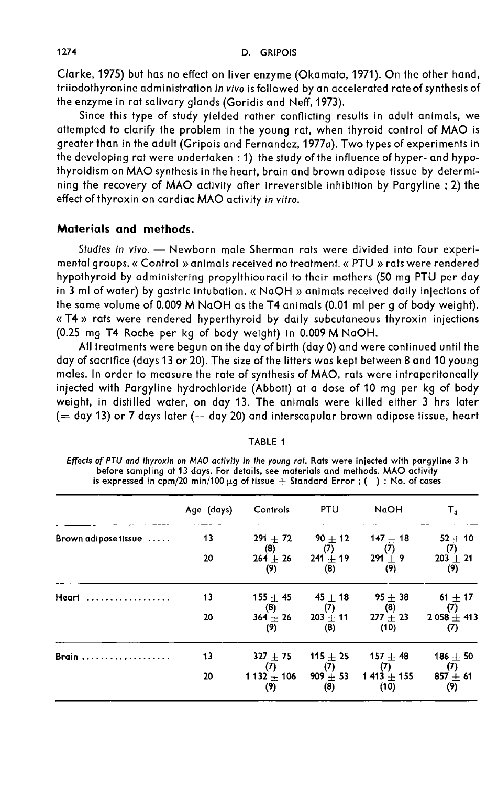Clarke, 1975) but has no effect on liver enzyme (Okamato, 1971). On the other hand, triiodothyronine administration in vivo is followed by an accelerated rate of synthesis of the enzyme in rat salivary glands (Goridis and Neff, 1973).

Since this type of study yielded rather conflicting results in adult animals, we attempted to clarify the problem in the young rat, when thyroid control of MAO is greater than in the adult (Gripois and Fernandez, 1977a). Two types of experiments in the developing rat were undertaken : 1) the study of the influence of hyper- and hypothyroidism on MAO synthesis in the heart, brain and brown adipose tissue by determining the recovery of MAO activity after irreversible inhibition by Pargyline ; 2) the effect of thyroxin on cardiac MAO activity in vitro.

## Materials and methods.

Studies in vivo. - Newborn male Sherman rats were divided into four experimental groups. « Control » animals received no treatment. « PTU » rats were rendered hypothyroid by administering propylthiouracil to their mothers (50 mg PTU per day in 3 ml of water) by gastric intubation. « NaOH » animals received daily injections of the same volume of 0.009 M NaOH as the T4 animals (0.01 ml per g of body weight). « T4 » rats were rendered hyperthyroid by daily subcutaneous thyroxin injections (0.25 mg T4 Roche per kg of body weight) in 0.009 M NaOH.

All treatments were begun on the day of birth (day 0) and were continued until the day of sacrifice (days 13 or 20). The size of the litters was kept between 8 and 10 young males. In order to measure the rate of synthesis of MAO, rats were intraperitoneally injected with Pargyline hydrochloride (Abbott) at a dose of 10 mg per kg of body weight, in distilled water, on day 13. The animals were killed either 3 hrs later  $(=$  day 13) or 7 days later  $(=$  day 20) and interscapular brown adipose tissue, heart

|--|

Effects of PTU and thyroxin on MAO activity in the young rat. Rats were injected with pargyline 3 h before sampling at 13 days. For details, see materials and methods. MAO activity is expressed in cpm/20 min/100  $\mu$ g of tissue  $\pm$  Standard Error; (): No. of cases

| Age (days) | Controls          | <b>PTU</b>        | NaOH                                            | т,                                                                                        |
|------------|-------------------|-------------------|-------------------------------------------------|-------------------------------------------------------------------------------------------|
| 13         | $291 + 72$        | 90 $\pm$ 12       | $147 + 18$                                      | $52 \pm 10$                                                                               |
| 20         | $264 + 26$<br>(9) | (8)               | $291 + 9$<br>(9)                                | (7)<br>$203 + 21$<br>(9)                                                                  |
| 13         | $155 + 45$        |                   | $95 + 38$                                       | $61 \pm 17$<br>(7)                                                                        |
| 20         | (9)               | (8)               | (10)                                            | $2058 + 413$<br>(7)                                                                       |
| 13         | $327 + 75$        | 115 $\pm$ 25      | $157 + 48$                                      | $186 + 50$<br>(7)                                                                         |
| 20         | (9)               | $909 + 53$<br>(8) | $1413 + 155$<br>(10)                            | $857 + 61$<br>(9)                                                                         |
|            |                   | (8)<br>(8)<br>(7) | (7)<br>$45+18$<br>(7)<br>(7)<br>1 132 $\pm$ 106 | (7)<br>$241 + 19$<br>$\left(8\right)$<br>277 $\pm$ 23<br>$364 \pm 26$ 203 $\pm$ 11<br>(7) |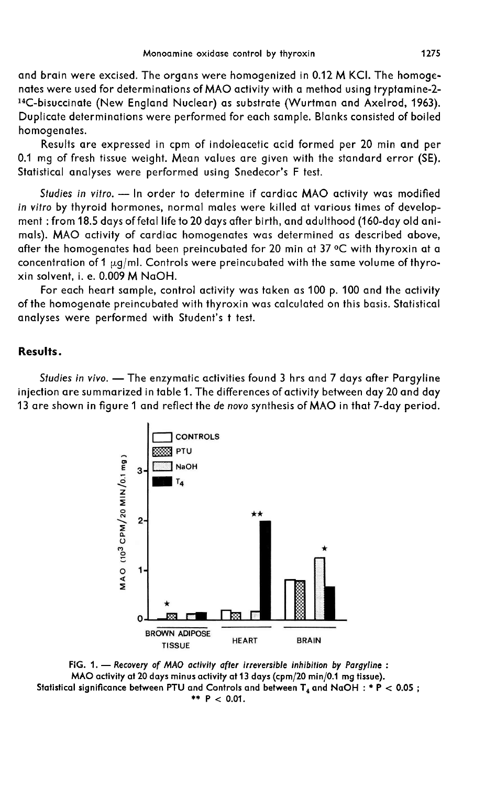and brain were excised. The organs were homogenized in 0.12 M KCI. The homogenates were used for determinations of MAO activity with a method using tryptamine-2- <sup>14</sup>C-bisuccinate (New England Nuclear) as substrate (Wurtman and Axelrod, 1963). Duplicate determinations were performed for each sample. Blanks consisted of boiled homogenates.

Results are expressed in cpm of indoleacetic acid formed per 20 min and per 0.1 mg of fresh tissue weight. Mean values are given with the standard error (SE). Statistical analyses were performed using Snedecor's F test.

Studies in vitro. - In order to determine if cardiac MAO activity was modified in vitro by thyroid hormones, normal males were killed at various times of development : from 18.5 days of fetal life to 20 days after birth, and adulthood (160-day old animals). MAO activity of cardiac homogenates was determined as described above, after the homogenates had been preincubated for 20 min at 37 °C with thyroxin at a<br>concentration of 1  $\mu$ g/ml. Controls were preincubated with the same volume of thyroment : from 18.5 days of fetal life to 20 days after birth, and adulthood (160-day old animals). MAO activity of cardiac homogenates was determined as described above, after the homogenates had been preincubated for 20 min xin solvent, i. e. 0.009 M NaOH.

For each heart sample, control activity was taken as 100 p. 100 and the activity of the homogenate preincubated with thyroxin was calculated on this basis. Statistical analyses were performed with Student's t test.

### Results.

Studies in vivo. - The enzymatic activities found 3 hrs and 7 days after Pargyline injection are summarized in table 1. The differences of activity between day 20 and day 13 are shown in figure 1 and reflect the de novo synthesis of MAO in that 7-day period.



FIG. 1. - Recovery of MAO activity after irreversible inhibition by Pargyline : MAO activity at 20 days minus activity at 13 days (cpm/20 min/0.1 mg tissue). Statistical significance between PTU and Controls and between  $T_4$  and NaOH : \* P < 0.05; \*\*  $P < 0.01$ .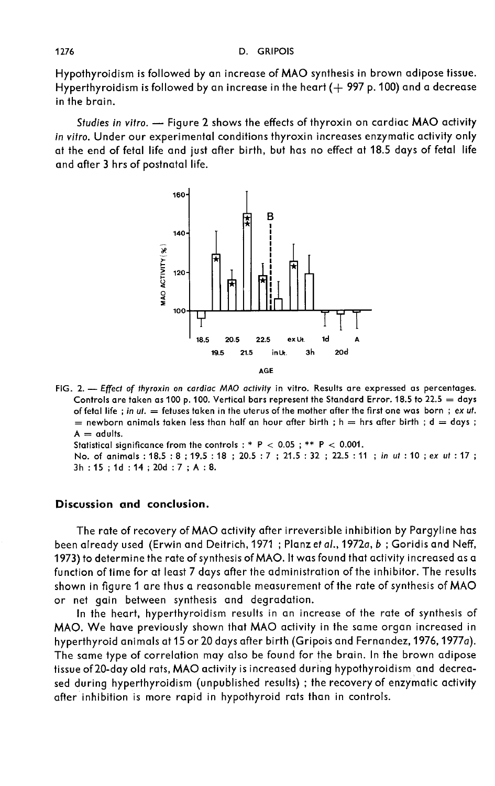Hypothyroidism is followed by an increase of MAO synthesis in brown adipose tissue. Hyperthyroidism is followed by an increase in the heart ( $+$  997 p. 100) and a decrease in the brain.

Studies in vitro. - Figure 2 shows the effects of thyroxin on cardiac MAO activity in vitro. Under our experimental conditions thyroxin increases enzymatic activity only at the end of fetal life and just after birth, but has no effect at 18.5 days of fetal life and after 3 hrs of postnatal life.

![](_page_3_Figure_3.jpeg)

FIG. 2. --- Effect of thyroxin on cardiac MAO activity in vitro. Results are expressed as percentages. Controls are taken as 100 p. 100. Vertical bars represent the Standard Error. 18.5 to 22.5 = days of fetal life; in ut. = fetuses taken in the uterus of the mother after the first one was born; ex ut.  $=$  newborn animals taken less than half an hour after birth ; h  $=$  hrs after birth ; d  $=$  days ;  $A =$  adults.

Statistical significance from the controls : \* P < 0.05 ; \*\* P < 0.001.

No. of animals: 18.5: 8: 19.5: 18: 20.5: 7: 21.5: 32: 22.5: 11: in ut: 10: ex ut: 17: 3h: 15; 1d: 14; 20d: 7; A: 8.

#### Discussion and conclusion.

The rate of recovery of MAO activity after irreversible inhibition by Pargyline has been already used (Erwin and Deitrich, 1971 ; Planz et al., 1972a, b; Goridis and Neff, 1973) to determine the rate of synthesis of MAO. It was found that activity increased as a function of time for at least 7 days after the administration of the inhibitor. The results shown in figure 1 are thus a reasonable measurement of the rate of synthesis of MAO or net gain between synthesis and degradation.

In the heart, hyperthyroidism results in an increase of the rate of synthesis of MAO. We have previously shown that MAO activity in the same organ increased in hyperthyroid animals at 15 or 20 days after birth (Gripois and Fernandez, 1976, 1977a). The same type of correlation may also be found for the brain. In the brown adipose tissue of 20-day old rats, MAO activity is increased during hypothyroidism and decreased during hyperthyroidism (unpublished results) ; the recovery of enzymatic activity after inhibition is more rapid in hypothyroid rats than in controls.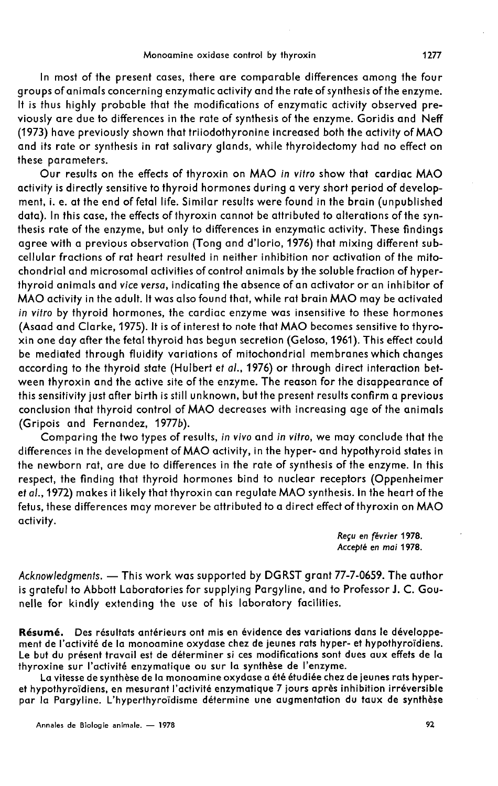In most of the present cases, there are comparable differences among the four groups of animals concerning enzymatic activity and the rate of synthesis of the enzyme. It is thus highly probable that the modifications of enzymatic activity observed previously are due to differences in the rate of synthesis of the enzyme. Goridis and Neff (1973) have previously shown that triiodothyronine increased both the activity of MAO and its rate or synthesis in rat salivary glands, while thyroidectomy had no effect on these parameters.

Our results on the effects of thyroxin on MAO in vitro show that cardiac MAO activity is directly sensitive to thyroid hormones during a very short period of development, i. e. at the end of fetal life. Similar results were found in the brain (unpublished data). In this case, the effects of thyroxin cannot be attributed to alterations of the synthesis rate of the enzyme, but only to differences in enzymatic activity. These findings agree with a previous observation (Tong and d'lorio, 1976) that mixing different subcellular fractions of rat heart resulted in neither inhibition nor activation of the mitochondrial and microsomal activities of control animals by the soluble fraction of hyperthyroid animals and vice versa, indicating the absence of an activator or an inhibitor of MAO activity in the adult. It was also found that, while rat brain MAO may be activated in vitro by thyroid hormones, the cardiac enzyme was insensitive to these hormones (Asaad and Clarke, 1975). It is of interest to note that MAO becomes sensitive to thyroxin one day after the fetal thyroid has begun secretion (Geloso, 1961). This effect could be mediated through fluidity variations of mitochondrial membranes which changes according to the thyroid state (Hulbert et al., 1976) or through direct interaction between thyroxin and the active site of the enzyme. The reason for the disappearance of this sensitivity just after birth is still unknown, but the present results confirm a previous conclusion that thyroid control of MAO decreases with increasing age of the animals (Gripois and Fernandez, 1977b).

Comparing the two types of results, in vivo and in vitro, we may conclude that the differences in the development of MAO activity, in the hyper- and hypothyroid states in the newborn rat, are due to differences in the rate of synthesis of the enzyme. In this respect, the finding that thyroid hormones bind to nuclear receptors (Oppenheimer et al.,1972) makes it likely that thyroxin can regulate MAO synthesis. In the heart of the fetus, these differences may morever be attributed to a direct effect of thyroxin on MAO activity.

> Reçu en fév rier 1978. Accepte en mai 1978.

Acknowledgments. - This work was supported by DGRST grant 77-7-0659. The author is grateful to Abbott Laboratories for supplying Pargyline, and to Professor J. C. Gounelle for kindly extending the use of his laboratory facilities.

Résumé. Des résultats antérieurs ont mis en évidence des variations dans le développe ment de l'activité de la monoamine oxydase chez de jeunes rats hyper- et hypothyroïdiens. Le but du présent travail est de déterminer si ces modifications sont dues aux effets de la thyroxine sur l'activité enzymatique ou sur la synthèse de l'enzyme.

La vitesse de synthèse de la monoamine oxydase a été étudiée chez de jeunes rats hyper et hypothyroïdiens, en mesurant l'activité enzymatique 7 jours après inhibition irréversible par la Pargyline. L'hyperthyroïdisme détermine une augmentation du taux de synthèse